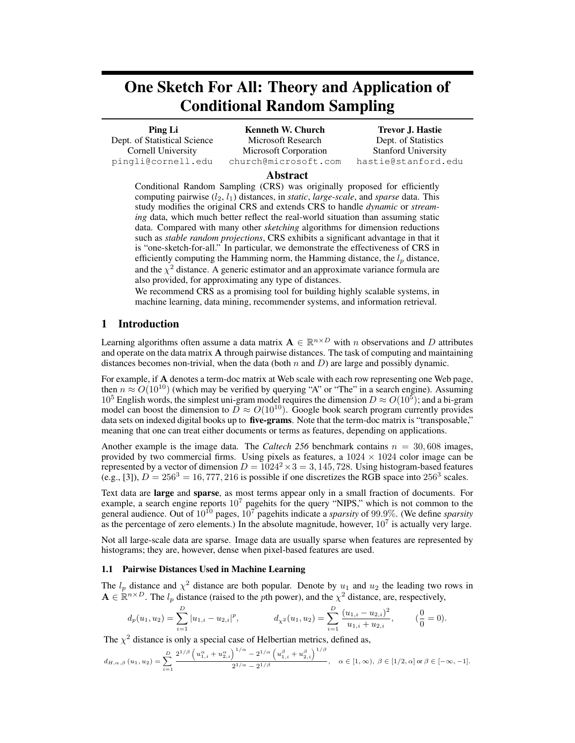# One Sketch For All: Theory and Application of Conditional Random Sampling

Ping Li Dept. of Statistical Science Cornell University pingli@cornell.edu

Kenneth W. Church Microsoft Research Microsoft Corporation church@microsoft.com

Trevor J. Hastie Dept. of Statistics Stanford University hastie@stanford.edu

# Abstract

Conditional Random Sampling (CRS) was originally proposed for efficiently computing pairwise  $(l_2, l_1)$  distances, in *static*, *large-scale*, and *sparse* data. This study modifies the original CRS and extends CRS to handle *dynamic* or *streaming* data, which much better reflect the real-world situation than assuming static data. Compared with many other *sketching* algorithms for dimension reductions such as *stable random projections*, CRS exhibits a significant advantage in that it is "one-sketch-for-all." In particular, we demonstrate the effectiveness of CRS in efficiently computing the Hamming norm, the Hamming distance, the  $l_p$  distance, and the  $\chi^2$  distance. A generic estimator and an approximate variance formula are also provided, for approximating any type of distances.

We recommend CRS as a promising tool for building highly scalable systems, in machine learning, data mining, recommender systems, and information retrieval.

# 1 Introduction

Learning algorithms often assume a data matrix  $A \in \mathbb{R}^{n \times D}$  with n observations and D attributes and operate on the data matrix A through pairwise distances. The task of computing and maintaining distances becomes non-trivial, when the data (both  $n$  and  $D$ ) are large and possibly dynamic.

For example, if A denotes a term-doc matrix at Web scale with each row representing one Web page, then  $n \approx O(10^{10})$  (which may be verified by querying "A" or "The" in a search engine). Assuming  $10^5$  English words, the simplest uni-gram model requires the dimension  $D \approx O(10^5)$ ; and a bi-gram model can boost the dimension to  $\tilde{D} \approx O(10^{10})$ . Google book search program currently provides data sets on indexed digital books up to **five-grams**. Note that the term-doc matrix is "transposable," meaning that one can treat either documents or terms as features, depending on applications.

Another example is the image data. The *Caltech 256* benchmark contains  $n = 30,608$  images, provided by two commercial firms. Using pixels as features, a  $1024 \times 1024$  color image can be represented by a vector of dimension  $D = 1024^2 \times 3 = 3,145,728$ . Using histogram-based features (e.g., [3]),  $D = 256^3 = 16,777,216$  is possible if one discretizes the RGB space into  $256^3$  scales.

Text data are large and sparse, as most terms appear only in a small fraction of documents. For example, a search engine reports  $10^7$  pagehits for the query "NIPS," which is not common to the general audience. Out of 10<sup>10</sup> pages, 10<sup>7</sup> pagehits indicate a *sparsity* of 99.9%. (We define *sparsity* as the percentage of zero elements.) In the absolute magnitude, however,  $10^7$  is actually very large.

Not all large-scale data are sparse. Image data are usually sparse when features are represented by histograms; they are, however, dense when pixel-based features are used.

# 1.1 Pairwise Distances Used in Machine Learning

The  $l_p$  distance and  $\chi^2$  distance are both popular. Denote by  $u_1$  and  $u_2$  the leading two rows in  $A \in \mathbb{R}^{n \times D}$ . The  $l_p$  distance (raised to the *p*th power), and the  $\chi^2$  distance, are, respectively,

$$
d_p(u_1, u_2) = \sum_{i=1}^D |u_{1,i} - u_{2,i}|^p, \qquad d_{\chi^2}(u_1, u_2) = \sum_{i=1}^D \frac{(u_{1,i} - u_{2,i})^2}{u_{1,i} + u_{2,i}}, \qquad (\frac{0}{0} = 0).
$$

The  $\chi^2$  distance is only a special case of Helbertian metrics, defined as,

$$
d_{H,\alpha,\beta}(u_1,u_2) = \sum_{i=1}^D \frac{2^{1/\beta} \left(u_{1,i}^{\alpha} + u_{2,i}^{\alpha}\right)^{1/\alpha} - 2^{1/\alpha} \left(u_{1,i}^{\beta} + u_{2,i}^{\beta}\right)^{1/\beta}}{2^{1/\alpha} - 2^{1/\beta}}, \quad \alpha \in [1,\infty), \ \beta \in [1/2,\alpha] \text{ or } \beta \in [-\infty,-1].
$$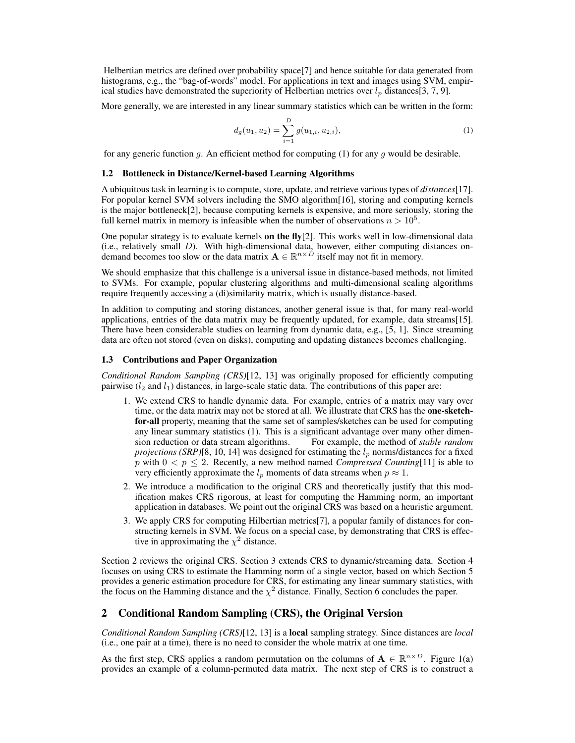Helbertian metrics are defined over probability space[7] and hence suitable for data generated from histograms, e.g., the "bag-of-words" model. For applications in text and images using SVM, empirical studies have demonstrated the superiority of Helbertian metrics over  $l_p$  distances[3, 7, 9].

More generally, we are interested in any linear summary statistics which can be written in the form:

$$
d_g(u_1, u_2) = \sum_{i=1}^{D} g(u_{1,i}, u_{2,i}),
$$
\n(1)

for any generic function g. An efficient method for computing (1) for any g would be desirable.

## 1.2 Bottleneck in Distance/Kernel-based Learning Algorithms

A ubiquitous task in learning is to compute, store, update, and retrieve various types of *distances*[17]. For popular kernel SVM solvers including the SMO algorithm[16], storing and computing kernels is the major bottleneck[2], because computing kernels is expensive, and more seriously, storing the full kernel matrix in memory is infeasible when the number of observations  $n > 10^5$ .

One popular strategy is to evaluate kernels on the fly $[2]$ . This works well in low-dimensional data (i.e., relatively small D). With high-dimensional data, however, either computing distances ondemand becomes too slow or the data matrix  $\mathbf{A} \in \mathbb{R}^{n \times D}$  itself may not fit in memory.

We should emphasize that this challenge is a universal issue in distance-based methods, not limited to SVMs. For example, popular clustering algorithms and multi-dimensional scaling algorithms require frequently accessing a (di)similarity matrix, which is usually distance-based.

In addition to computing and storing distances, another general issue is that, for many real-world applications, entries of the data matrix may be frequently updated, for example, data streams[15]. There have been considerable studies on learning from dynamic data, e.g., [5, 1]. Since streaming data are often not stored (even on disks), computing and updating distances becomes challenging.

## 1.3 Contributions and Paper Organization

*Conditional Random Sampling (CRS)*[12, 13] was originally proposed for efficiently computing pairwise  $(l_2 \text{ and } l_1)$  distances, in large-scale static data. The contributions of this paper are:

- 1. We extend CRS to handle dynamic data. For example, entries of a matrix may vary over time, or the data matrix may not be stored at all. We illustrate that CRS has the one-sketchfor-all property, meaning that the same set of samples/sketches can be used for computing any linear summary statistics (1). This is a significant advantage over many other dimension reduction or data stream algorithms. For example, the method of *stable random projections (SRP)*[8, 10, 14] was designed for estimating the  $l_p$  norms/distances for a fixed p with  $0 < p \le 2$ . Recently, a new method named *Compressed Counting*[11] is able to very efficiently approximate the  $l_p$  moments of data streams when  $p \approx 1$ .
- 2. We introduce a modification to the original CRS and theoretically justify that this modification makes CRS rigorous, at least for computing the Hamming norm, an important application in databases. We point out the original CRS was based on a heuristic argument.
- 3. We apply CRS for computing Hilbertian metrics[7], a popular family of distances for constructing kernels in SVM. We focus on a special case, by demonstrating that CRS is effective in approximating the  $\chi^2$  distance.

Section 2 reviews the original CRS. Section 3 extends CRS to dynamic/streaming data. Section 4 focuses on using CRS to estimate the Hamming norm of a single vector, based on which Section 5 provides a generic estimation procedure for CRS, for estimating any linear summary statistics, with the focus on the Hamming distance and the  $\chi^2$  distance. Finally, Section 6 concludes the paper.

# 2 Conditional Random Sampling (CRS), the Original Version

*Conditional Random Sampling (CRS)*[12, 13] is a local sampling strategy. Since distances are *local* (i.e., one pair at a time), there is no need to consider the whole matrix at one time.

As the first step, CRS applies a random permutation on the columns of  $A \in \mathbb{R}^{n \times D}$ . Figure 1(a) provides an example of a column-permuted data matrix. The next step of CRS is to construct a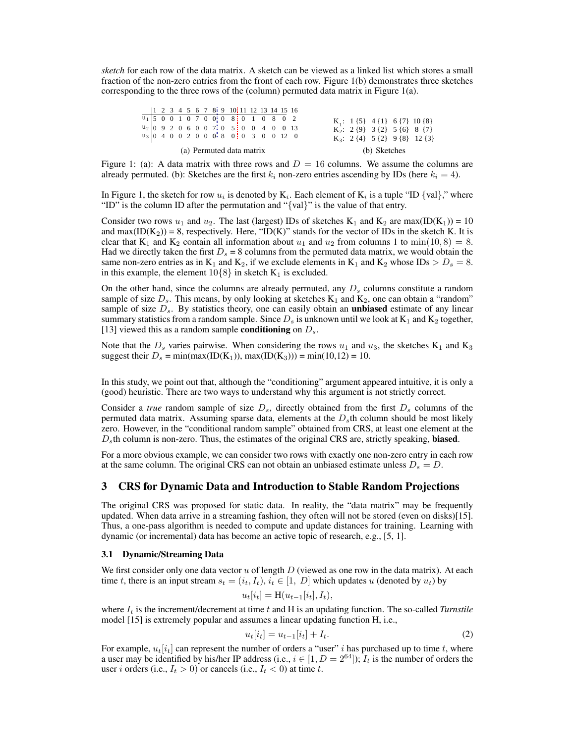*sketch* for each row of the data matrix. A sketch can be viewed as a linked list which stores a small fraction of the non-zero entries from the front of each row. Figure 1(b) demonstrates three sketches corresponding to the three rows of the (column) permuted data matrix in Figure 1(a).

|  |  |  |  | $u_1$ 5 0 0 1 0 7 0 0 0 8 0 1 0 8 0 2  |  |  |  |
|--|--|--|--|----------------------------------------|--|--|--|
|  |  |  |  | $u_2$ 0 9 2 0 6 0 0 7 0 5 0 0 4 0 0 13 |  |  |  |
|  |  |  |  | $u_3$ 0 4 0 0 2 0 0 0 8 0 0 3 0 0 12 0 |  |  |  |
|  |  |  |  | (a) Permuted data matrix               |  |  |  |

Figure 1: (a): A data matrix with three rows and  $D = 16$  columns. We assume the columns are already permuted. (b): Sketches are the first  $k_i$  non-zero entries ascending by IDs (here  $k_i = 4$ ).

In Figure 1, the sketch for row  $u_i$  is denoted by  $K_i$ . Each element of  $K_i$  is a tuple "ID {val}," where "ID" is the column ID after the permutation and "{val}" is the value of that entry.

Consider two rows  $u_1$  and  $u_2$ . The last (largest) IDs of sketches K<sub>1</sub> and K<sub>2</sub> are max(ID(K<sub>1</sub>)) = 10 and max( $ID(K_2)$ ) = 8, respectively. Here, " $ID(K)$ " stands for the vector of IDs in the sketch K. It is clear that K<sub>1</sub> and K<sub>2</sub> contain all information about  $u_1$  and  $u_2$  from columns 1 to min(10, 8) = 8. Had we directly taken the first  $D_s = 8$  columns from the permuted data matrix, we would obtain the same non-zero entries as in  $K_1$  and  $K_2$ , if we exclude elements in  $K_1$  and  $K_2$  whose IDs  $> D_s = 8$ . in this example, the element  $10\{8\}$  in sketch  $K_1$  is excluded.

On the other hand, since the columns are already permuted, any  $D_s$  columns constitute a random sample of size  $D_s$ . This means, by only looking at sketches  $K_1$  and  $K_2$ , one can obtain a "random" sample of size  $D_s$ . By statistics theory, one can easily obtain an **unbiased** estimate of any linear summary statistics from a random sample. Since  $D_s$  is unknown until we look at  $K_1$  and  $K_2$  together, [13] viewed this as a random sample **conditioning** on  $D_s$ .

Note that the  $D_s$  varies pairwise. When considering the rows  $u_1$  and  $u_3$ , the sketches  $K_1$  and  $K_3$ suggest their  $D_s = min(max(ID(K_1)), max(ID(K_3))) = min(10,12) = 10.$ 

In this study, we point out that, although the "conditioning" argument appeared intuitive, it is only a (good) heuristic. There are two ways to understand why this argument is not strictly correct.

Consider a *true* random sample of size  $D_s$ , directly obtained from the first  $D_s$  columns of the permuted data matrix. Assuming sparse data, elements at the  $D<sub>s</sub>$ th column should be most likely zero. However, in the "conditional random sample" obtained from CRS, at least one element at the  $D<sub>s</sub>$ th column is non-zero. Thus, the estimates of the original CRS are, strictly speaking, **biased**.

For a more obvious example, we can consider two rows with exactly one non-zero entry in each row at the same column. The original CRS can not obtain an unbiased estimate unless  $D_s = D$ .

# 3 CRS for Dynamic Data and Introduction to Stable Random Projections

The original CRS was proposed for static data. In reality, the "data matrix" may be frequently updated. When data arrive in a streaming fashion, they often will not be stored (even on disks)[15]. Thus, a one-pass algorithm is needed to compute and update distances for training. Learning with dynamic (or incremental) data has become an active topic of research, e.g., [5, 1].

#### 3.1 Dynamic/Streaming Data

We first consider only one data vector  $u$  of length  $D$  (viewed as one row in the data matrix). At each time t, there is an input stream  $s_t = (i_t, I_t)$ ,  $i_t \in [1, D]$  which updates u (denoted by  $u_t$ ) by

$$
u_t[i_t] = \mathcal{H}(u_{t-1}[i_t], I_t),
$$

where  $I_t$  is the increment/decrement at time t and H is an updating function. The so-called *Turnstile* model [15] is extremely popular and assumes a linear updating function H, i.e.,

$$
u_t[i_t] = u_{t-1}[i_t] + I_t.
$$
\n(2)

For example,  $u_t[i_t]$  can represent the number of orders a "user" i has purchased up to time t, where a user may be identified by his/her IP address (i.e.,  $i \in [1, D = 2^{64}]$ );  $I_t$  is the number of orders the user *i* orders (i.e.,  $I_t > 0$ ) or cancels (i.e.,  $I_t < 0$ ) at time *t*.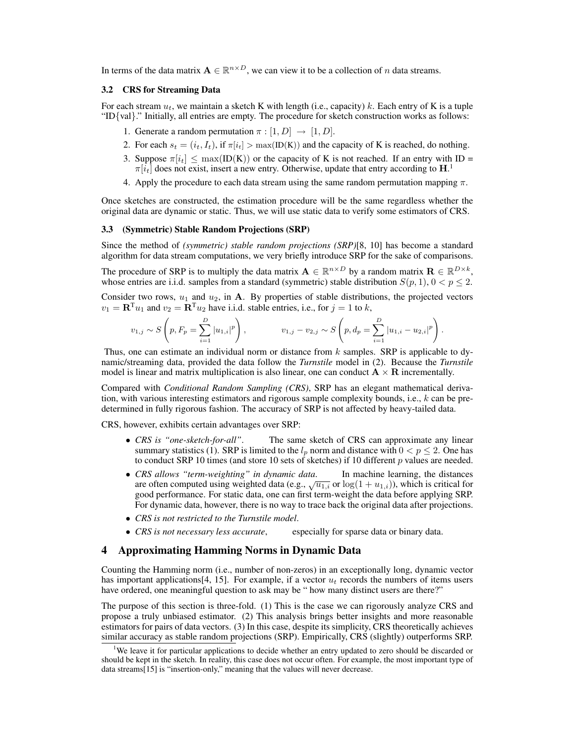In terms of the data matrix  $A \in \mathbb{R}^{n \times D}$ , we can view it to be a collection of n data streams.

## 3.2 CRS for Streaming Data

For each stream  $u_t$ , we maintain a sketch K with length (i.e., capacity) k. Each entry of K is a tuple "ID $\{val\}$ ." Initially, all entries are empty. The procedure for sketch construction works as follows:

- 1. Generate a random permutation  $\pi : [1, D] \rightarrow [1, D]$ .
- 2. For each  $s_t = (i_t, I_t)$ , if  $\pi[i_t] > \max(\text{ID}(K))$  and the capacity of K is reached, do nothing.
- 3. Suppose  $\pi[i_t] \leq \max(\text{ID}(K))$  or the capacity of K is not reached. If an entry with ID =  $\pi[i_t]$  does not exist, insert a new entry. Otherwise, update that entry according to  $\mathbf{H}$ .
- 4. Apply the procedure to each data stream using the same random permutation mapping  $\pi$ .

Once sketches are constructed, the estimation procedure will be the same regardless whether the original data are dynamic or static. Thus, we will use static data to verify some estimators of CRS.

## 3.3 (Symmetric) Stable Random Projections (SRP)

Since the method of *(symmetric) stable random projections (SRP)*[8, 10] has become a standard algorithm for data stream computations, we very briefly introduce SRP for the sake of comparisons.

The procedure of SRP is to multiply the data matrix  $\mathbf{A} \in \mathbb{R}^{n \times D}$  by a random matrix  $\mathbf{R} \in \mathbb{R}^{D \times k}$ , whose entries are i.i.d. samples from a standard (symmetric) stable distribution  $S(p, 1)$ ,  $0 < p \le 2$ .

Consider two rows,  $u_1$  and  $u_2$ , in A. By properties of stable distributions, the projected vectors  $v_1 = \mathbf{R}^{\mathrm{T}} u_1$  and  $v_2 = \mathbf{R}^{\mathrm{T}} u_2$  have i.i.d. stable entries, i.e., for  $j = 1$  to k,

$$
v_{1,j} \sim S\left(p, F_p = \sum_{i=1}^D |u_{1,i}|^p\right), \qquad v_{1,j} - v_{2,j} \sim S\left(p, d_p = \sum_{i=1}^D |u_{1,i} - u_{2,i}|^p\right).
$$

Thus, one can estimate an individual norm or distance from  $k$  samples. SRP is applicable to dynamic/streaming data, provided the data follow the *Turnstile* model in (2). Because the *Turnstile* model is linear and matrix multiplication is also linear, one can conduct  $\mathbf{A} \times \mathbf{R}$  incrementally.

Compared with *Conditional Random Sampling (CRS)*, SRP has an elegant mathematical derivation, with various interesting estimators and rigorous sample complexity bounds, i.e., k can be predetermined in fully rigorous fashion. The accuracy of SRP is not affected by heavy-tailed data.

CRS, however, exhibits certain advantages over SRP:

- *CRS is "one-sketch-for-all"*. The same sketch of CRS can approximate any linear summary statistics (1). SRP is limited to the  $l_p$  norm and distance with  $0 < p \le 2$ . One has to conduct SRP 10 times (and store 10 sets of sketches) if 10 different  $p$  values are needed.
- *CRS allows "term-weighting" in dynamic data*. In machine learning, the distances are often computed using weighted data (e.g.,  $\sqrt{u_{1,i}}$  or  $\log(1 + u_{1,i})$ ), which is critical for good performance. For static data, one can first term-weight the data before applying SRP. For dynamic data, however, there is no way to trace back the original data after projections.
- *CRS is not restricted to the Turnstile model*.
- *CRS is not necessary less accurate*, especially for sparse data or binary data.

# 4 Approximating Hamming Norms in Dynamic Data

Counting the Hamming norm (i.e., number of non-zeros) in an exceptionally long, dynamic vector has important applications [4, 15]. For example, if a vector  $u_t$  records the numbers of items users have ordered, one meaningful question to ask may be " how many distinct users are there?"

The purpose of this section is three-fold. (1) This is the case we can rigorously analyze CRS and propose a truly unbiased estimator. (2) This analysis brings better insights and more reasonable estimators for pairs of data vectors. (3) In this case, despite its simplicity, CRS theoretically achieves similar accuracy as stable random projections (SRP). Empirically, CRS (slightly) outperforms SRP.

<sup>&</sup>lt;sup>1</sup>We leave it for particular applications to decide whether an entry updated to zero should be discarded or should be kept in the sketch. In reality, this case does not occur often. For example, the most important type of data streams[15] is "insertion-only," meaning that the values will never decrease.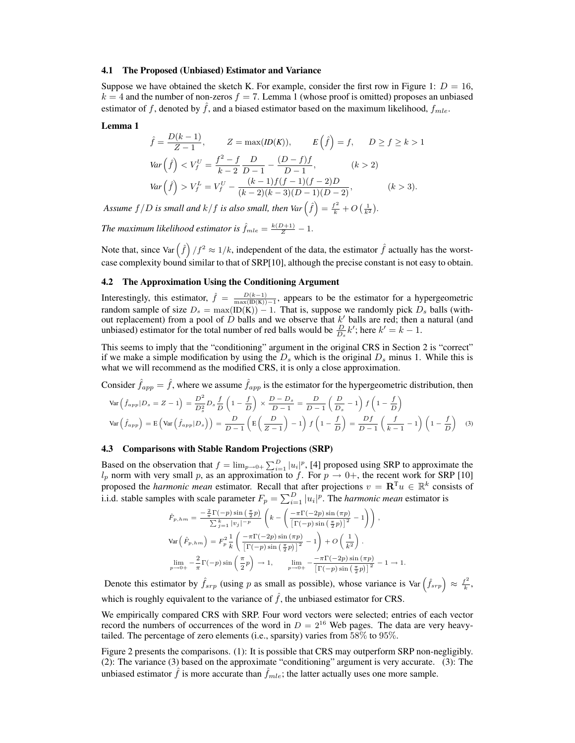#### 4.1 The Proposed (Unbiased) Estimator and Variance

Suppose we have obtained the sketch K. For example, consider the first row in Figure 1:  $D = 16$ ,  $k = 4$  and the number of non-zeros  $f = 7$ . Lemma 1 (whose proof is omitted) proposes an unbiased estimator of f, denoted by f, and a biased estimator based on the maximum likelihood,  $f_{mle}$ .

#### Lemma 1

$$
\hat{f} = \frac{D(k-1)}{Z-1}, \qquad Z = \max(ID(K)), \qquad E(\hat{f}) = f, \qquad D \ge f \ge k > 1
$$
\n
$$
\text{Var}\left(\hat{f}\right) < V_f^U = \frac{f^2 - f}{k-2} \frac{D}{D-1} - \frac{(D-f)f}{D-1}, \qquad (k > 2)
$$
\n
$$
\text{Var}\left(\hat{f}\right) > V_f^L = V_f^U - \frac{(k-1)f(f-1)(f-2)D}{(k-2)(k-3)(D-1)(D-2)}, \qquad (k > 3).
$$

*Assume*  $f/D$  *is small and*  $k/f$  *is also small, then*  $Var\left(f\right) = \frac{f^2}{k} + O\left(\frac{1}{k^2}\right)$ ¢ *.*

*The maximum likelihood estimator is*  $\hat{f}_{mle} = \frac{k(D+1)}{Z} - 1$ .

Note that, since Var  $(\hat{f})/f^2 \approx 1/k$ , independent of the data, the estimator  $\hat{f}$  actually has the worstcase complexity bound similar to that of SRP[10], although the precise constant is not easy to obtain.

#### 4.2 The Approximation Using the Conditioning Argument

Interestingly, this estimator,  $\hat{f} = \frac{D(k-1)}{\max(\text{ID}(K)) - 1}$ , appears to be the estimator for a hypergeometric random sample of size  $D_s = \max(\text{ID}(K)) - 1$ . That is, suppose we randomly pick  $D_s$  balls (without replacement) from a pool of  $D$  balls and we observe that  $k'$  balls are red; then a natural (and unbiased) estimator for the total number of red balls would be  $\frac{D}{D_s}k'$ ; here  $k'=k-1$ .

This seems to imply that the "conditioning" argument in the original CRS in Section 2 is "correct" if we make a simple modification by using the  $D_s$  which is the original  $D_s$  minus 1. While this is what we will recommend as the modified CRS, it is only a close approximation.

Consider  $\hat{f}_{app} = \hat{f}$ , where we assume  $\hat{f}_{app}$  is the estimator for the hypergeometric distribution, then

$$
\text{Var}\left(\hat{f}_{app}|D_s = Z - 1\right) = \frac{D^2}{D_s^2} D_s \frac{f}{D} \left(1 - \frac{f}{D}\right) \times \frac{D - D_s}{D - 1} = \frac{D}{D - 1} \left(\frac{D}{D_s} - 1\right) f \left(1 - \frac{f}{D}\right)
$$
\n
$$
\text{Var}\left(\hat{f}_{app}\right) = \text{E}\left(\text{Var}\left(\hat{f}_{app}|D_s\right)\right) = \frac{D}{D - 1} \left(\text{E}\left(\frac{D}{Z - 1}\right) - 1\right) f \left(1 - \frac{f}{D}\right) = \frac{Df}{D - 1} \left(\frac{f}{k - 1} - 1\right) \left(1 - \frac{f}{D}\right) \tag{3}
$$

## 4.3 Comparisons with Stable Random Projections (SRP)

Based on the observation that  $f = \lim_{p\to 0+} \sum_{i=1}^{D} |u_i|^p$ , [4] proposed using SRP to approximate the  $l_p$  norm with very small p, as an approximation to f. For  $p \to 0^+$ , the recent work for SRP [10] proposed the *harmonic mean* estimator. Recall that after projections  $v = \mathbf{R}^{T} u \in \mathbb{R}^{k}$  consists of proposed the *harmonic mean* estimator. Recall that after projections  $v = \mathbf{R} \cdot u \in \mathbb{R}$  consistential independent  $F_p = \sum_{i=1}^{D} |u_i|^p$ . The *harmonic mean* estimator is

$$
\hat{F}_{p,hm} = \frac{-\frac{2}{\pi} \Gamma(-p) \sin\left(\frac{\pi}{2}p\right)}{\sum_{j=1}^{k} |v_j|^{-p}} \left( k - \left( \frac{-\pi \Gamma(-2p) \sin\left(\frac{\pi}{2}p\right)}{\left[\Gamma(-p) \sin\left(\frac{\pi}{2}p\right)\right]^2} - 1 \right) \right),
$$
\n
$$
\text{Var}\left(\hat{F}_{p,hm}\right) = F_p^2 \frac{1}{k} \left( \frac{-\pi \Gamma(-2p) \sin\left(\frac{\pi p}{2}p\right)}{\left[\Gamma(-p) \sin\left(\frac{\pi}{2}p\right)\right]^2} - 1 \right) + O\left(\frac{1}{k^2}\right).
$$
\n
$$
\lim_{p \to 0+} -\frac{2}{\pi} \Gamma(-p) \sin\left(\frac{\pi}{2}p\right) \to 1, \qquad \lim_{p \to 0+} -\frac{-\pi \Gamma(-2p) \sin\left(\frac{\pi p}{2}p\right)}{\left[\Gamma(-p) \sin\left(\frac{\pi}{2}p\right)\right]^2} - 1 \to 1.
$$

Denote this estimator by  $\hat{f}_{srp}$  (using p as small as possible), whose variance is Var $(\hat{f}_{srp}) \approx \frac{f^2}{k}$  $\frac{f^2}{k}$ , which is roughly equivalent to the variance of  $\hat{f}$ , the unbiased estimator for CRS.

We empirically compared CRS with SRP. Four word vectors were selected; entries of each vector record the numbers of occurrences of the word in  $D = 2^{16}$  Web pages. The data are very heavytailed. The percentage of zero elements (i.e., sparsity) varies from 58% to 95%.

Figure 2 presents the comparisons. (1): It is possible that CRS may outperform SRP non-negligibly. (2): The variance (3) based on the approximate "conditioning" argument is very accurate. (3): The unbiased estimator  $\hat{f}$  is more accurate than  $f_{mle}$ ; the latter actually uses one more sample.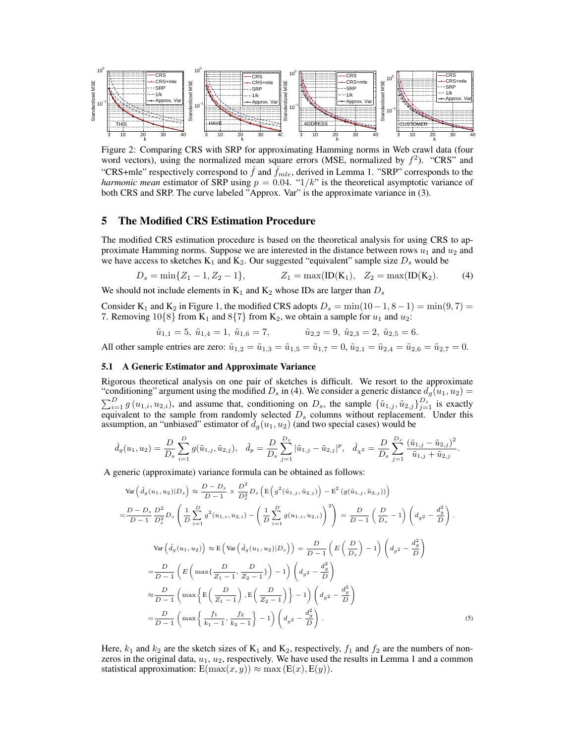

Figure 2: Comparing CRS with SRP for approximating Hamming norms in Web crawl data (four word vectors), using the normalized mean square errors (MSE, normalized by  $f^2$ ). "CRS" and "CRS+mle" respectively correspond to  $\hat{f}$  and  $\hat{f}_{mle}$ , derived in Lemma 1. "SRP" corresponds to the *harmonic mean* estimator of SRP using  $p = 0.04$ . " $1/k$ " is the theoretical asymptotic variance of both CRS and SRP. The curve labeled "Approx. Var" is the approximate variance in (3).

# 5 The Modified CRS Estimation Procedure

The modified CRS estimation procedure is based on the theoretical analysis for using CRS to approximate Hamming norms. Suppose we are interested in the distance between rows  $u_1$  and  $u_2$  and we have access to sketches  $K_1$  and  $K_2$ . Our suggested "equivalent" sample size  $D_s$  would be

$$
D_s = \min\{Z_1 - 1, Z_2 - 1\}, \qquad Z_1 = \max(\text{ID}(K_1), Z_2 = \max(\text{ID}(K_2)).\tag{4}
$$

We should not include elements in  $K_1$  and  $K_2$  whose IDs are larger than  $D_s$ 

Consider K<sub>1</sub> and K<sub>2</sub> in Figure 1, the modified CRS adopts  $D_s = \min(10-1, 8-1) = \min(9, 7) =$ 7. Removing  $10\{8\}$  from K<sub>1</sub> and  $8\{7\}$  from K<sub>2</sub>, we obtain a sample for  $u_1$  and  $u_2$ :

$$
\tilde{u}_{1,1} = 5, \ \tilde{u}_{1,4} = 1, \ \tilde{u}_{1,6} = 7,
$$
\n $\tilde{u}_{2,2} = 9, \ \tilde{u}_{2,3} = 2, \ \tilde{u}_{2,5} = 6.$ 

All other sample entries are zero:  $\tilde{u}_{1,2} = \tilde{u}_{1,3} = \tilde{u}_{1,5} = \tilde{u}_{1,7} = 0$ ,  $\tilde{u}_{2,1} = \tilde{u}_{2,4} = \tilde{u}_{2,6} = \tilde{u}_{2,7} = 0$ .

## 5.1 A Generic Estimator and Approximate Variance

Rigorous theoretical analysis on one pair of sketches is difficult. We resort to the approximate "conditioning" argument using the modified  $D_s$  in (4). We consider a generic distance  $d_g(u_1, u_2) =$ Consider a generic distance  $D_g$  in (+). We consider a generic distance  $u_g(u_1, u_2)$   $\sum_{i=1}^D g(u_{1,i}, u_{2,i})$ , and assume that, conditioning on  $D_s$ , the sample  $\{\tilde{u}_{1,j}, \tilde{u}_{2,j}\}_{j=1}^{D_s}$  is exactly equivalent to the sample from randomly selected  $D<sub>s</sub>$  columns without replacement. Under this assumption, an "unbiased" estimator of  $d_g(u_1, u_2)$  (and two special cases) would be

$$
\hat{d}_g(u_1, u_2) = \frac{D}{D_s} \sum_{i=1}^D g(\tilde{u}_{1,i}, \tilde{u}_{2,i}), \quad \hat{d}_p = \frac{D}{D_s} \sum_{j=1}^{D_s} |\tilde{u}_{1,j} - \tilde{u}_{2,j}|^p, \quad \hat{d}_{\chi^2} = \frac{D}{D_s} \sum_{j=1}^{D_s} \frac{(\tilde{u}_{1,j} - \tilde{u}_{2,j})^2}{\tilde{u}_{1,j} + \tilde{u}_{2,j}}.
$$

A generic (approximate) variance formula can be obtained as follows:

$$
\operatorname{Var}\left(\hat{d}_{g}(u_{1}, u_{2})|D_{s}\right) \approx \frac{D - D_{s}}{D - 1} \times \frac{D^{2}}{D_{s}^{2}} D_{s}\left(\mathrm{E}\left(g^{2}(\tilde{u}_{1,j}, \tilde{u}_{2,j})\right) - \mathrm{E}^{2}\left(g(\tilde{u}_{1,j}, \tilde{u}_{2,j})\right)\right)
$$
\n
$$
= \frac{D - D_{s}}{D - 1} \frac{D^{2}}{D_{s}^{2}} D_{s}\left(\frac{1}{D} \sum_{i=1}^{D} g^{2}(u_{1,i}, u_{2,i}) - \left(\frac{1}{D} \sum_{i=1}^{D} g(u_{1,i}, u_{2,i})\right)^{2}\right) = \frac{D}{D - 1} \left(\frac{D}{D_{s}} - 1\right) \left(d_{g}^{2} - \frac{d_{g}^{2}}{D}\right).
$$
\n
$$
\operatorname{Var}\left(\hat{d}_{g}(u_{1}, u_{2})\right) \approx \mathrm{E}\left(\operatorname{Var}\left(\hat{d}_{g}(u_{1}, u_{2})|D_{s}\right)\right) = \frac{D}{D - 1} \left(\mathrm{E}\left(\frac{D}{D_{s}}\right) - 1\right) \left(d_{g^{2}} - \frac{d_{g}^{2}}{D}\right)
$$
\n
$$
= \frac{D}{D - 1} \left(\mathrm{E}\left(\max\left\{\frac{D}{Z_{1} - 1}, \frac{D}{Z_{2} - 1}\right\}\right) - 1\right) \left(d_{g^{2}} - \frac{d_{g}^{2}}{D}\right)
$$
\n
$$
\approx \frac{D}{D - 1} \left(\max\left\{\mathrm{E}\left(\frac{D}{Z_{1} - 1}\right), \mathrm{E}\left(\frac{D}{Z_{2} - 1}\right)\right\} - 1\right) \left(d_{g^{2}} - \frac{d_{g}^{2}}{D}\right)
$$
\n
$$
= \frac{D}{D - 1} \left(\max\left\{\frac{f_{1}}{k_{1} - 1}, \frac{f_{2}}{k_{2} - 1}\right\} - 1\right) \left(d_{g^{2}} - \frac{d_{g}^{2}}{D}\right).
$$
\n(5)

Here,  $k_1$  and  $k_2$  are the sketch sizes of  $K_1$  and  $K_2$ , respectively,  $f_1$  and  $f_2$  are the numbers of nonzeros in the original data,  $u_1$ ,  $u_2$ , respectively. We have used the results in Lemma 1 and a common statistical approximation:  $E(\max(x, y)) \approx \max(E(x), E(y)).$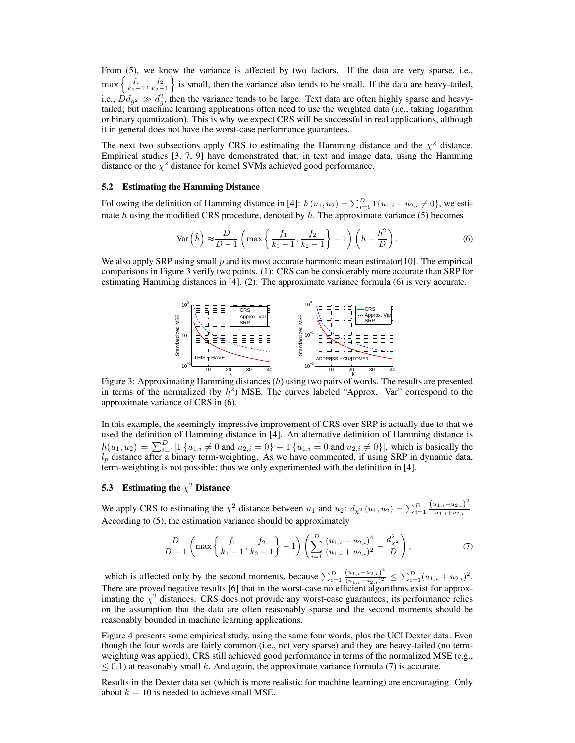From (5), we know the variance is affected by two factors. If the data are very sparse, i.e., From (5), we know the variance is affected by two factors. If the data are very sparse, i.e.,  $\max\left\{\frac{f_1}{k_1-1}, \frac{f_2}{k_2-1}\right\}$  is small, then the variance also tends to be small. If the data are heavy-tailed, i.e.,  $Dd_{g^2} \gg d_g^2$ , then the variance tends to be large. Text data are often highly sparse and heavytailed; but machine learning applications often need to use the weighted data (i.e., taking logarithm or binary quantization). This is why we expect CRS will be successful in real applications, although it in general does not have the worst-case performance guarantees.

The next two subsections apply CRS to estimating the Hamming distance and the  $\chi^2$  distance. Empirical studies [3, 7, 9] have demonstrated that, in text and image data, using the Hamming distance or the  $\chi^2$  distance for kernel SVMs achieved good performance.

# 5.2 Estimating the Hamming Distance

Following the definition of Hamming distance in [4]:  $h(u_1, u_2) = \sum_{i=1}^{D} 1\{u_{1,i} - u_{2,i} \neq 0\}$ , we estimate h using the modified CRS procedure, denoted by  $\hat{h}$ . The approximate variance (5) becomes

$$
\text{Var}\left(\hat{h}\right) \approx \frac{D}{D-1} \left( \max\left\{ \frac{f_1}{k_1 - 1}, \frac{f_2}{k_2 - 1} \right\} - 1 \right) \left( h - \frac{h^2}{D} \right). \tag{6}
$$

We also apply SRP using small  $p$  and its most accurate harmonic mean estimator[10]. The empirical comparisons in Figure 3 verify two points. (1): CRS can be considerably more accurate than SRP for estimating Hamming distances in [4]. (2): The approximate variance formula (6) is very accurate.



Figure 3: Approximating Hamming distances (h) using two pairs of words. The results are presented in terms of the normalized (by  $h^2$ ) MSE. The curves labeled "Approx. Var" correspond to the approximate variance of CRS in (6).

In this example, the seemingly impressive improvement of CRS over SRP is actually due to that we used the definition of Hamming distance in [4]. An alternative definition of Hamming distance is  $h(u_1, u_2) = \sum_{i=1}^{D} [1 \{u_{1,i} \neq 0 \text{ and } u_{2,i} = 0\} + 1 \{u_{1,i} = 0 \text{ and } u_{2,i} \neq 0\}],$  which is basically the  $l_p$  distance after a binary term-weighting. As we have commented, if using SRP in dynamic data, term-weighting is not possible; thus we only experimented with the definition in [4].

# 5.3 Estimating the  $\chi^2$  Distance

We apply CRS to estimating the  $\chi^2$  distance between  $u_1$  and  $u_2$ :  $d_{\chi^2}(u_1, u_2) = \sum_{i=1}^D \frac{(u_{1,i}-u_{2,i})^2}{u_{1,i}+u_{2,i}}$  $\frac{u_{1,i}-u_{2,i}}{u_{1,i}+u_{2,i}}$ . According to (5), the estimation variance should be approximately

$$
\frac{D}{D-1}\left(\max\left\{\frac{f_1}{k_1-1},\frac{f_2}{k_2-1}\right\}-1\right)\left(\sum_{i=1}^D\frac{(u_{1,i}-u_{2,i})^4}{(u_{1,i}+u_{2,i})^2}-\frac{d_{\chi^2}^2}{D}\right),\tag{7}
$$

which is affected only by the second moments, because  $\sum_{i=1}^{D} \frac{(u_{1,i}-u_{2,i})^4}{(u_{1,i}+u_{2,i})^2}$  $\frac{\left(u_{1,i}-u_{2,i}\right)^4}{\left(u_{1,i}+u_{2,i}\right)^2} \leq \sum_{i=1}^D (u_{1,i}+u_{2,i})^2.$ There are proved negative results [6] that in the worst-case no efficient algorithms exist for approximating the  $\chi^2$  distances. CRS does not provide any worst-case guarantees; its performance relies on the assumption that the data are often reasonably sparse and the second moments should be reasonably bounded in machine learning applications.

Figure 4 presents some empirical study, using the same four words, plus the UCI Dexter data. Even though the four words are fairly common (i.e., not very sparse) and they are heavy-tailed (no termweighting was applied), CRS still achieved good performance in terms of the normalized MSE (e.g.,  $\leq$  0.1) at reasonably small k. And again, the approximate variance formula (7) is accurate.

Results in the Dexter data set (which is more realistic for machine learning) are encouraging. Only about  $k = 10$  is needed to achieve small MSE.